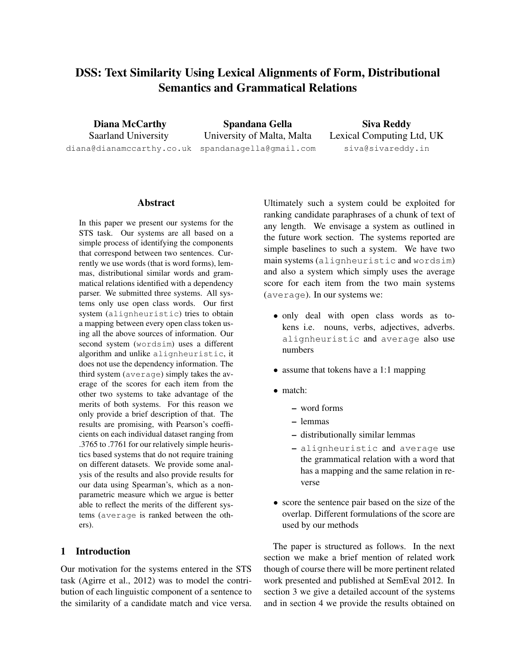# DSS: Text Similarity Using Lexical Alignments of Form, Distributional Semantics and Grammatical Relations

Diana McCarthy Saarland University diana@dianamccarthy.co.uk

Spandana Gella University of Malta, Malta spandanagella@gmail.com

Siva Reddy Lexical Computing Ltd, UK siva@sivareddy.in

## Abstract

In this paper we present our systems for the STS task. Our systems are all based on a simple process of identifying the components that correspond between two sentences. Currently we use words (that is word forms), lemmas, distributional similar words and grammatical relations identified with a dependency parser. We submitted three systems. All systems only use open class words. Our first system (alignheuristic) tries to obtain a mapping between every open class token using all the above sources of information. Our second system (wordsim) uses a different algorithm and unlike alignheuristic, it does not use the dependency information. The third system (average) simply takes the average of the scores for each item from the other two systems to take advantage of the merits of both systems. For this reason we only provide a brief description of that. The results are promising, with Pearson's coefficients on each individual dataset ranging from .3765 to .7761 for our relatively simple heuristics based systems that do not require training on different datasets. We provide some analysis of the results and also provide results for our data using Spearman's, which as a nonparametric measure which we argue is better able to reflect the merits of the different systems (average is ranked between the others).

## 1 Introduction

Our motivation for the systems entered in the STS task (Agirre et al., 2012) was to model the contribution of each linguistic component of a sentence to the similarity of a candidate match and vice versa.

Ultimately such a system could be exploited for ranking candidate paraphrases of a chunk of text of any length. We envisage a system as outlined in the future work section. The systems reported are simple baselines to such a system. We have two main systems (alignheuristic and wordsim) and also a system which simply uses the average score for each item from the two main systems (average). In our systems we:

- only deal with open class words as tokens i.e. nouns, verbs, adjectives, adverbs. alignheuristic and average also use numbers
- assume that tokens have a 1:1 mapping
- match:
	- word forms
	- lemmas
	- distributionally similar lemmas
	- alignheuristic and average use the grammatical relation with a word that has a mapping and the same relation in reverse
- score the sentence pair based on the size of the overlap. Different formulations of the score are used by our methods

The paper is structured as follows. In the next section we make a brief mention of related work though of course there will be more pertinent related work presented and published at SemEval 2012. In section 3 we give a detailed account of the systems and in section 4 we provide the results obtained on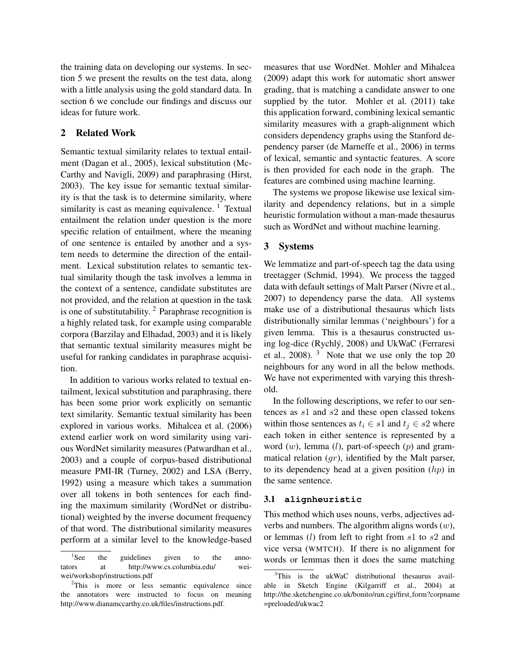the training data on developing our systems. In section 5 we present the results on the test data, along with a little analysis using the gold standard data. In section 6 we conclude our findings and discuss our ideas for future work.

## 2 Related Work

Semantic textual similarity relates to textual entailment (Dagan et al., 2005), lexical substitution (Mc-Carthy and Navigli, 2009) and paraphrasing (Hirst, 2003). The key issue for semantic textual similarity is that the task is to determine similarity, where similarity is cast as meaning equivalence.  $1$  Textual entailment the relation under question is the more specific relation of entailment, where the meaning of one sentence is entailed by another and a system needs to determine the direction of the entailment. Lexical substitution relates to semantic textual similarity though the task involves a lemma in the context of a sentence, candidate substitutes are not provided, and the relation at question in the task is one of substitutability. <sup>2</sup> Paraphrase recognition is a highly related task, for example using comparable corpora (Barzilay and Elhadad, 2003) and it is likely that semantic textual similarity measures might be useful for ranking candidates in paraphrase acquisition.

In addition to various works related to textual entailment, lexical substitution and paraphrasing, there has been some prior work explicitly on semantic text similarity. Semantic textual similarity has been explored in various works. Mihalcea et al. (2006) extend earlier work on word similarity using various WordNet similarity measures (Patwardhan et al., 2003) and a couple of corpus-based distributional measure PMI-IR (Turney, 2002) and LSA (Berry, 1992) using a measure which takes a summation over all tokens in both sentences for each finding the maximum similarity (WordNet or distributional) weighted by the inverse document frequency of that word. The distributional similarity measures perform at a similar level to the knowledge-based measures that use WordNet. Mohler and Mihalcea (2009) adapt this work for automatic short answer grading, that is matching a candidate answer to one supplied by the tutor. Mohler et al. (2011) take this application forward, combining lexical semantic similarity measures with a graph-alignment which considers dependency graphs using the Stanford dependency parser (de Marneffe et al., 2006) in terms of lexical, semantic and syntactic features. A score is then provided for each node in the graph. The features are combined using machine learning.

The systems we propose likewise use lexical similarity and dependency relations, but in a simple heuristic formulation without a man-made thesaurus such as WordNet and without machine learning.

#### 3 Systems

We lemmatize and part-of-speech tag the data using treetagger (Schmid, 1994). We process the tagged data with default settings of Malt Parser (Nivre et al., 2007) to dependency parse the data. All systems make use of a distributional thesaurus which lists distributionally similar lemmas ('neighbours') for a given lemma. This is a thesaurus constructed using log-dice (Rychly, 2008) and UkWaC (Ferraresi ´ et al., 2008).  $3$  Note that we use only the top 20 neighbours for any word in all the below methods. We have not experimented with varying this threshold.

In the following descriptions, we refer to our sentences as s1 and s2 and these open classed tokens within those sentences as  $t_i \in s1$  and  $t_j \in s2$  where each token in either sentence is represented by a word  $(w)$ , lemma  $(l)$ , part-of-speech  $(p)$  and grammatical relation  $(qr)$ , identified by the Malt parser, to its dependency head at a given position  $(hp)$  in the same sentence.

#### 3.1 **alignheuristic**

This method which uses nouns, verbs, adjectives adverbs and numbers. The algorithm aligns words  $(w)$ , or lemmas  $(l)$  from left to right from  $s1$  to  $s2$  and vice versa (WMTCH). If there is no alignment for words or lemmas then it does the same matching

 ${}^{1}$ See the guidelines given to the annotators at http://www.cs.columbia.edu/ weiwei/workshop/instructions.pdf

<sup>&</sup>lt;sup>2</sup>This is more or less semantic equivalence since the annotators were instructed to focus on meaning http://www.dianamccarthy.co.uk/files/instructions.pdf.

 $3$ This is the ukWaC distributional thesaurus available in Sketch Engine (Kilgarriff et al., 2004) at http://the.sketchengine.co.uk/bonito/run.cgi/first form?corpname =preloaded/ukwac2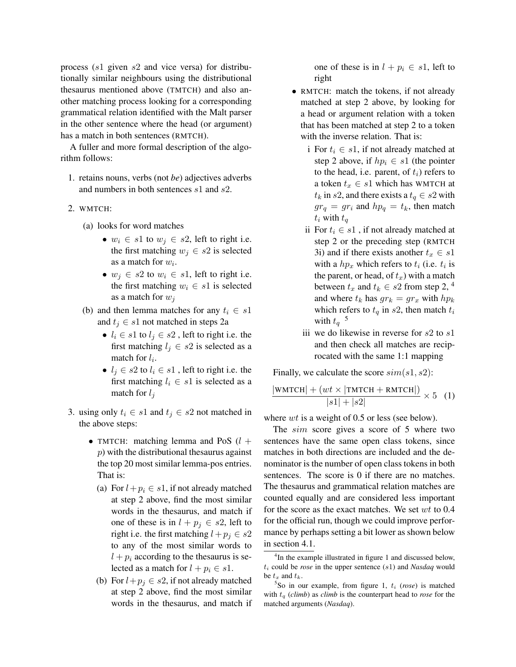process (s1 given s2 and vice versa) for distributionally similar neighbours using the distributional thesaurus mentioned above (TMTCH) and also another matching process looking for a corresponding grammatical relation identified with the Malt parser in the other sentence where the head (or argument) has a match in both sentences (RMTCH).

A fuller and more formal description of the algorithm follows:

- 1. retains nouns, verbs (not *be*) adjectives adverbs and numbers in both sentences s1 and s2.
- 2. WMTCH:
	- (a) looks for word matches
		- $w_i \in s1$  to  $w_j \in s2$ , left to right i.e. the first matching  $w_i \in s2$  is selected as a match for  $w_i$ .
		- $w_i \in s2$  to  $w_i \in s1$ , left to right i.e. the first matching  $w_i \in s1$  is selected as a match for  $w_i$
	- (b) and then lemma matches for any  $t_i \in s1$ and  $t_j \in s1$  not matched in steps 2a
		- $l_i \in s1$  to  $l_j \in s2$ , left to right i.e. the first matching  $l_j \in s2$  is selected as a match for  $l_i$ .
		- $l_j \in s2$  to  $l_i \in s1$ , left to right i.e. the first matching  $l_i \in s1$  is selected as a match for  $l_i$
- 3. using only  $t_i \in s1$  and  $t_j \in s2$  not matched in the above steps:
	- TMTCH: matching lemma and PoS  $(l +$ p) with the distributional thesaurus against the top 20 most similar lemma-pos entries. That is:
		- (a) For  $l+p_i \in s1$ , if not already matched at step 2 above, find the most similar words in the thesaurus, and match if one of these is in  $l + p_j \in s2$ , left to right i.e. the first matching  $l + p_j \in s2$ to any of the most similar words to  $l + p_i$  according to the thesaurus is selected as a match for  $l + p_i \in s$ 1.
		- (b) For  $l+p_j \in s2$ , if not already matched at step 2 above, find the most similar words in the thesaurus, and match if

one of these is in  $l + p_i \in s_1$ , left to right

- RMTCH: match the tokens, if not already matched at step 2 above, by looking for a head or argument relation with a token that has been matched at step 2 to a token with the inverse relation. That is:
	- i For  $t_i \in s_1$ , if not already matched at step 2 above, if  $hp_i \in s1$  (the pointer to the head, i.e. parent, of  $t_i$ ) refers to a token  $t_x \in s1$  which has WMTCH at  $t_k$  in s2, and there exists a  $t_q \in s2$  with  $gr_q = gr_i$  and  $hp_q = t_k$ , then match  $t_i$  with  $t_q$
	- ii For  $t_i \in s_1$ , if not already matched at step 2 or the preceding step (RMTCH 3i) and if there exists another  $t_x \in s1$ with a  $hp_x$  which refers to  $t_i$  (i.e.  $t_i$  is the parent, or head, of  $t<sub>x</sub>$ ) with a match between  $t_x$  and  $t_k \in s2$  from step 2, <sup>4</sup> and where  $t_k$  has  $gr_k = gr_x$  with  $hp_k$ which refers to  $t_q$  in s2, then match  $t_i$ with  $t_q$ <sup>5</sup>
	- iii we do likewise in reverse for  $s2$  to  $s1$ and then check all matches are reciprocated with the same 1:1 mapping

Finally, we calculate the score  $sim(s1, s2)$ :

$$
\frac{|\text{WMICH}| + (wt \times |\text{TMICH} + \text{RMICH}|)}{|s1| + |s2|} \times 5 \quad (1)
$$

where *wt* is a weight of 0.5 or less (see below).

The  $sim$  score gives a score of 5 where two sentences have the same open class tokens, since matches in both directions are included and the denominator is the number of open class tokens in both sentences. The score is 0 if there are no matches. The thesaurus and grammatical relation matches are counted equally and are considered less important for the score as the exact matches. We set wt to 0.4 for the official run, though we could improve performance by perhaps setting a bit lower as shown below in section 4.1.

<sup>&</sup>lt;sup>4</sup>In the example illustrated in figure 1 and discussed below,  $t_i$  could be *rose* in the upper sentence  $(s_1)$  and *Nasdaq* would be  $t_x$  and  $t_k$ .

 $5$ So in our example, from figure 1,  $t_i$  (*rose*) is matched with  $t_q$  (*climb*) as *climb* is the counterpart head to *rose* for the matched arguments (*Nasdaq*).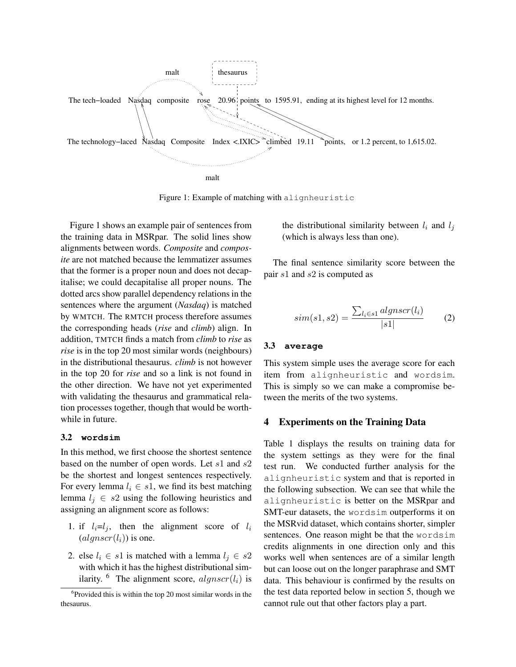

Figure 1: Example of matching with alignheuristic

Figure 1 shows an example pair of sentences from the training data in MSRpar. The solid lines show alignments between words. *Composite* and *composite* are not matched because the lemmatizer assumes that the former is a proper noun and does not decapitalise; we could decapitalise all proper nouns. The dotted arcs show parallel dependency relations in the sentences where the argument (*Nasdaq*) is matched by WMTCH. The RMTCH process therefore assumes the corresponding heads (*rise* and *climb*) align. In addition, TMTCH finds a match from *climb* to *rise* as *rise* is in the top 20 most similar words (neighbours) in the distributional thesaurus. *climb* is not however in the top 20 for *rise* and so a link is not found in the other direction. We have not yet experimented with validating the thesaurus and grammatical relation processes together, though that would be worthwhile in future.

#### 3.2 **wordsim**

In this method, we first choose the shortest sentence based on the number of open words. Let  $s1$  and  $s2$ be the shortest and longest sentences respectively. For every lemma  $l_i \in s_1$ , we find its best matching lemma  $l_i \in s2$  using the following heuristics and assigning an alignment score as follows:

- 1. if  $l_i=l_j$ , then the alignment score of  $l_i$  $(algnscr(l_i))$  is one.
- 2. else  $l_i \in s1$  is matched with a lemma  $l_j \in s2$ with which it has the highest distributional similarity. <sup>6</sup> The alignment score,  $algnscr(l_i)$  is

the distributional similarity between  $l_i$  and  $l_j$ (which is always less than one).

The final sentence similarity score between the pair s1 and s2 is computed as

$$
sim(s1, s2) = \frac{\sum_{l_i \in s1} alignscr(l_i)}{|s1|}
$$
 (2)

#### 3.3 **average**

This system simple uses the average score for each item from alignheuristic and wordsim. This is simply so we can make a compromise between the merits of the two systems.

#### 4 Experiments on the Training Data

Table 1 displays the results on training data for the system settings as they were for the final test run. We conducted further analysis for the alignheuristic system and that is reported in the following subsection. We can see that while the alignheuristic is better on the MSRpar and SMT-eur datasets, the wordsim outperforms it on the MSRvid dataset, which contains shorter, simpler sentences. One reason might be that the wordsim credits alignments in one direction only and this works well when sentences are of a similar length but can loose out on the longer paraphrase and SMT data. This behaviour is confirmed by the results on the test data reported below in section 5, though we cannot rule out that other factors play a part.

<sup>&</sup>lt;sup>6</sup>Provided this is within the top 20 most similar words in the thesaurus.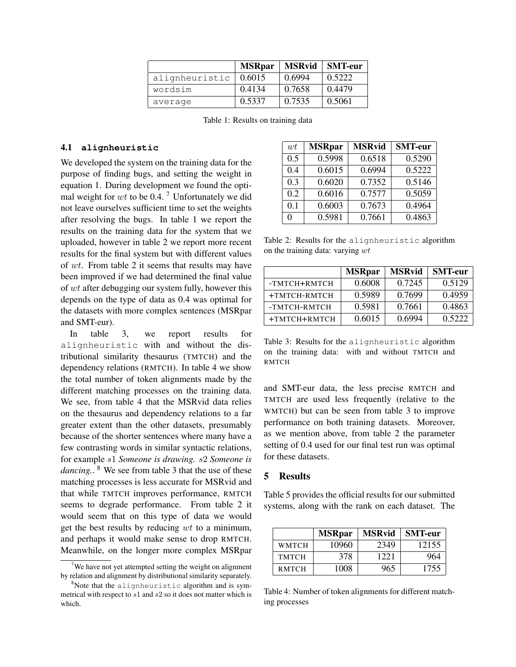|                | <b>MSRpar</b> | <b>MSRvid</b> | <b>SMT-eur</b> |
|----------------|---------------|---------------|----------------|
| alignheuristic | 0.6015        | 0.6994        | 0.5222         |
| wordsim        | 0.4134        | 0.7658        | 0.4479         |
| average        | 0.5337        | 0.7535        | 0.5061         |

Table 1: Results on training data

#### 4.1 **alignheuristic**

We developed the system on the training data for the purpose of finding bugs, and setting the weight in equation 1. During development we found the optimal weight for  $wt$  to be 0.4.<sup>7</sup> Unfortunately we did not leave ourselves sufficient time to set the weights after resolving the bugs. In table 1 we report the results on the training data for the system that we uploaded, however in table 2 we report more recent results for the final system but with different values of wt. From table 2 it seems that results may have been improved if we had determined the final value of wt after debugging our system fully, however this depends on the type of data as 0.4 was optimal for the datasets with more complex sentences (MSRpar and SMT-eur).

In table 3, we report results for alignheuristic with and without the distributional similarity thesaurus (TMTCH) and the dependency relations (RMTCH). In table 4 we show the total number of token alignments made by the different matching processes on the training data. We see, from table 4 that the MSRvid data relies on the thesaurus and dependency relations to a far greater extent than the other datasets, presumably because of the shorter sentences where many have a few contrasting words in similar syntactic relations, for example s1 *Someone is drawing.* s2 *Someone is dancing.*. <sup>8</sup> We see from table 3 that the use of these matching processes is less accurate for MSRvid and that while TMTCH improves performance, RMTCH seems to degrade performance. From table 2 it would seem that on this type of data we would get the best results by reducing  $wt$  to a minimum, and perhaps it would make sense to drop RMTCH. Meanwhile, on the longer more complex MSRpar

| wt  | <b>MSRpar</b> | <b>MSRvid</b> | <b>SMT-eur</b> |
|-----|---------------|---------------|----------------|
| 0.5 | 0.5998        | 0.6518        | 0.5290         |
| 0.4 | 0.6015        | 0.6994        | 0.5222         |
| 0.3 | 0.6020        | 0.7352        | 0.5146         |
| 0.2 | 0.6016        | 0.7577        | 0.5059         |
| 0.1 | 0.6003        | 0.7673        | 0.4964         |
| 0   | 0.5981        | 0.7661        | 0.4863         |

Table 2: Results for the alignheuristic algorithm on the training data: varying wt

|              | <b>MSRpar</b> | <b>MSRvid</b> | <b>SMT-eur</b> |
|--------------|---------------|---------------|----------------|
| -TMTCH+RMTCH | 0.6008        | 0.7245        | 0.5129         |
| +TMTCH-RMTCH | 0.5989        | 0.7699        | 0.4959         |
| -TMTCH-RMTCH | 0.5981        | 0.7661        | 0.4863         |
| +TMTCH+RMTCH | 0.6015        | 0.6994        | 0.5222         |

Table 3: Results for the alignheuristic algorithm on the training data: with and without TMTCH and RMTCH

and SMT-eur data, the less precise RMTCH and TMTCH are used less frequently (relative to the WMTCH) but can be seen from table 3 to improve performance on both training datasets. Moreover, as we mention above, from table 2 the parameter setting of 0.4 used for our final test run was optimal for these datasets.

## 5 Results

Table 5 provides the official results for our submitted systems, along with the rank on each dataset. The

|              | <b>MSRpar</b> | <b>MSRvid</b> | <b>SMT-eur</b> |
|--------------|---------------|---------------|----------------|
| WMTCH        | 10960         | 2349          | 12155          |
| <b>TMTCH</b> | 378           | 1221          | 964            |
| <b>RMTCH</b> | 1008          | 965           | 1755           |

Table 4: Number of token alignments for different matching processes

<sup>&</sup>lt;sup>7</sup>We have not yet attempted setting the weight on alignment by relation and alignment by distributional similarity separately.

 $8$ Note that the alignheuristic algorithm and is symmetrical with respect to s1 and s2 so it does not matter which is which.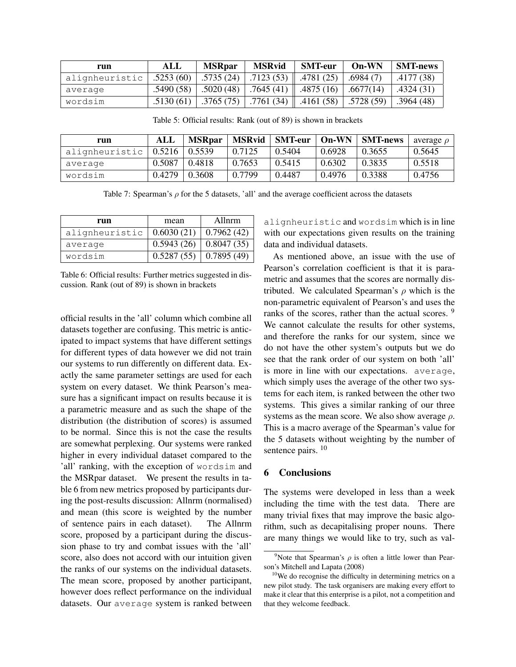| run            | ALL       | <b>MSRpar</b> | <b>MSRvid</b> | <b>SMT-eur</b>         | $On-WN$                 | <b>SMT-news</b> |
|----------------|-----------|---------------|---------------|------------------------|-------------------------|-----------------|
| alignheuristic | .5253(60) | .5735 (24)    | .7123(53)     | $\parallel$ .4781 (25) | .6984(7)                | .4177 (38)      |
| average        | .5490(58) | .5020(48)     | .7645(41)     | .4875(16)              | $\vert .6677(14) \vert$ | .4324(31)       |
| wordsim        | .5130(61) | .3765(75)     | .7761(34)     | .4161(58)              | .5728(59)               | .3964(48)       |

Table 5: Official results: Rank (out of 89) is shown in brackets

| run            | ALL    | <b>MSRpar</b> | <b>MSRvid</b> | $SMT$ -eur   On-WN |        | <b>SMT-news</b> | average $\rho$ |
|----------------|--------|---------------|---------------|--------------------|--------|-----------------|----------------|
| alignheuristic | 0.5216 | $\pm 0.5539$  | 0.7125        | 0.5404             | 0.6928 | 0.3655          | 0.5645         |
| average        | 0.5087 | 0.4818        | 0.7653        | 0.5415             | 0.6302 | 0.3835          | 0.5518         |
| wordsim        | 0.4279 | 0.3608        | 0.7799        | 0.4487             | 0.4976 | 0.3388          | 0.4756         |

Table 7: Spearman's  $\rho$  for the 5 datasets, 'all' and the average coefficient across the datasets

| run            | mean       | Allnrm     |  |
|----------------|------------|------------|--|
| alignheuristic | 0.6030(21) | 0.7962(42) |  |
| average        | 0.5943(26) | 0.8047(35) |  |
| wordsim        | 0.5287(55) | 0.7895(49) |  |

Table 6: Official results: Further metrics suggested in discussion. Rank (out of 89) is shown in brackets

official results in the 'all' column which combine all datasets together are confusing. This metric is anticipated to impact systems that have different settings for different types of data however we did not train our systems to run differently on different data. Exactly the same parameter settings are used for each system on every dataset. We think Pearson's measure has a significant impact on results because it is a parametric measure and as such the shape of the distribution (the distribution of scores) is assumed to be normal. Since this is not the case the results are somewhat perplexing. Our systems were ranked higher in every individual dataset compared to the 'all' ranking, with the exception of wordsim and the MSRpar dataset. We present the results in table 6 from new metrics proposed by participants during the post-results discussion: Allnrm (normalised) and mean (this score is weighted by the number of sentence pairs in each dataset). The Allnrm score, proposed by a participant during the discussion phase to try and combat issues with the 'all' score, also does not accord with our intuition given the ranks of our systems on the individual datasets. The mean score, proposed by another participant, however does reflect performance on the individual datasets. Our average system is ranked between alignheuristic and wordsim which is in line with our expectations given results on the training data and individual datasets.

As mentioned above, an issue with the use of Pearson's correlation coefficient is that it is parametric and assumes that the scores are normally distributed. We calculated Spearman's  $\rho$  which is the non-parametric equivalent of Pearson's and uses the ranks of the scores, rather than the actual scores. <sup>9</sup> We cannot calculate the results for other systems, and therefore the ranks for our system, since we do not have the other system's outputs but we do see that the rank order of our system on both 'all' is more in line with our expectations. average, which simply uses the average of the other two systems for each item, is ranked between the other two systems. This gives a similar ranking of our three systems as the mean score. We also show average  $\rho$ . This is a macro average of the Spearman's value for the 5 datasets without weighting by the number of sentence pairs. <sup>10</sup>

## 6 Conclusions

The systems were developed in less than a week including the time with the test data. There are many trivial fixes that may improve the basic algorithm, such as decapitalising proper nouns. There are many things we would like to try, such as val-

<sup>&</sup>lt;sup>9</sup>Note that Spearman's  $\rho$  is often a little lower than Pearson's Mitchell and Lapata (2008)

 $10$ We do recognise the difficulty in determining metrics on a new pilot study. The task organisers are making every effort to make it clear that this enterprise is a pilot, not a competition and that they welcome feedback.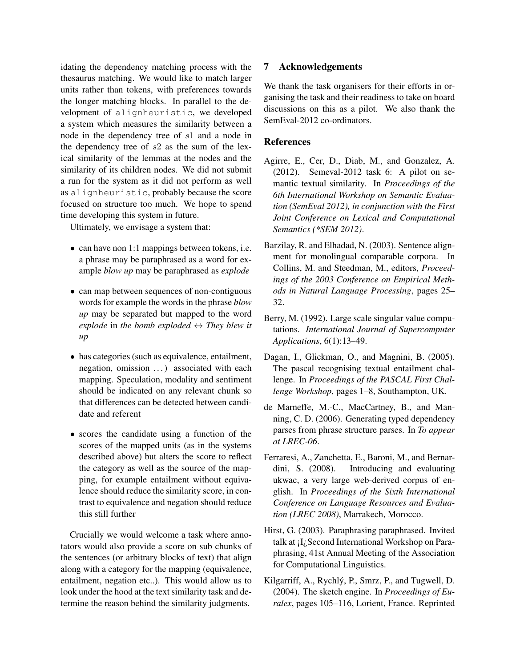idating the dependency matching process with the thesaurus matching. We would like to match larger units rather than tokens, with preferences towards the longer matching blocks. In parallel to the development of alignheuristic, we developed a system which measures the similarity between a node in the dependency tree of s1 and a node in the dependency tree of  $s2$  as the sum of the lexical similarity of the lemmas at the nodes and the similarity of its children nodes. We did not submit a run for the system as it did not perform as well as alignheuristic, probably because the score focused on structure too much. We hope to spend time developing this system in future.

Ultimately, we envisage a system that:

- can have non 1:1 mappings between tokens, i.e. a phrase may be paraphrased as a word for example *blow up* may be paraphrased as *explode*
- can map between sequences of non-contiguous words for example the words in the phrase *blow up* may be separated but mapped to the word *explode* in the bomb exploded  $\leftrightarrow$  *They blew it up*
- has categories (such as equivalence, entailment, negation, omission ...) associated with each mapping. Speculation, modality and sentiment should be indicated on any relevant chunk so that differences can be detected between candidate and referent
- scores the candidate using a function of the scores of the mapped units (as in the systems described above) but alters the score to reflect the category as well as the source of the mapping, for example entailment without equivalence should reduce the similarity score, in contrast to equivalence and negation should reduce this still further

Crucially we would welcome a task where annotators would also provide a score on sub chunks of the sentences (or arbitrary blocks of text) that align along with a category for the mapping (equivalence, entailment, negation etc..). This would allow us to look under the hood at the text similarity task and determine the reason behind the similarity judgments.

# 7 Acknowledgements

We thank the task organisers for their efforts in organising the task and their readiness to take on board discussions on this as a pilot. We also thank the SemEval-2012 co-ordinators.

# References

- Agirre, E., Cer, D., Diab, M., and Gonzalez, A.  $(2012)$ . Semeval-2012 task 6: A pilot on semantic textual similarity. In *Proceedings of the 6th International Workshop on Semantic Evaluation (SemEval 2012), in conjunction with the First Joint Conference on Lexical and Computational Semantics (\*SEM 2012)*.
- Barzilay, R. and Elhadad, N. (2003). Sentence alignment for monolingual comparable corpora. In Collins, M. and Steedman, M., editors, *Proceedings of the 2003 Conference on Empirical Methods in Natural Language Processing*, pages 25– 32.
- Berry, M. (1992). Large scale singular value computations. *International Journal of Supercomputer Applications*, 6(1):13–49.
- Dagan, I., Glickman, O., and Magnini, B. (2005). The pascal recognising textual entailment challenge. In *Proceedings of the PASCAL First Challenge Workshop*, pages 1–8, Southampton, UK.
- de Marneffe, M.-C., MacCartney, B., and Manning, C. D. (2006). Generating typed dependency parses from phrase structure parses. In *To appear at LREC-06*.
- Ferraresi, A., Zanchetta, E., Baroni, M., and Bernardini, S. (2008). Introducing and evaluating ukwac, a very large web-derived corpus of english. In *Proceedings of the Sixth International Conference on Language Resources and Evaluation (LREC 2008)*, Marrakech, Morocco.
- Hirst, G. (2003). Paraphrasing paraphrased. Invited talk at ¡I¿Second International Workshop on Paraphrasing, 41st Annual Meeting of the Association for Computational Linguistics.
- Kilgarriff, A., Rychly, P., Smrz, P., and Tugwell, D. ´ (2004). The sketch engine. In *Proceedings of Euralex*, pages 105–116, Lorient, France. Reprinted